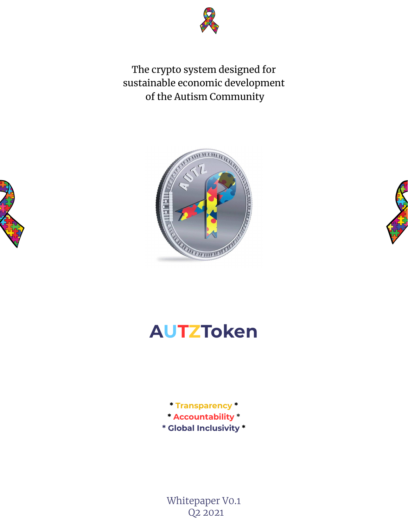

The crypto system designed for sustainable economic development of the Autism Community







# **AUTZToken**

**\* Transparency \* \* Accountability \* \* Global Inclusivity \***

Whitepaper V0.1 Q2 2021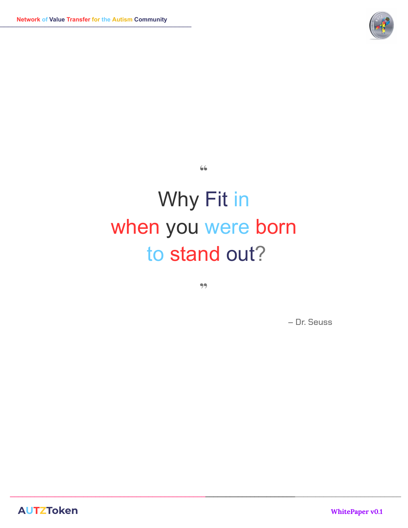

# Why Fit in when you were born to stand out?

**"**

**"**

 $\_$  ,  $\_$  ,  $\_$  ,  $\_$  ,  $\_$  ,  $\_$  ,  $\_$  ,  $\_$  ,  $\_$  ,  $\_$  ,  $\_$  ,  $\_$  ,  $\_$  ,  $\_$  ,  $\_$  ,  $\_$  ,  $\_$  ,  $\_$  ,  $\_$  ,  $\_$  ,  $\_$  ,  $\_$  ,  $\_$  ,  $\_$  ,  $\_$  ,  $\_$  ,  $\_$  ,  $\_$  ,  $\_$  ,  $\_$  ,  $\_$  ,  $\_$  ,  $\_$  ,  $\_$  ,  $\_$  ,  $\_$  ,  $\_$  ,

– Dr. Seuss

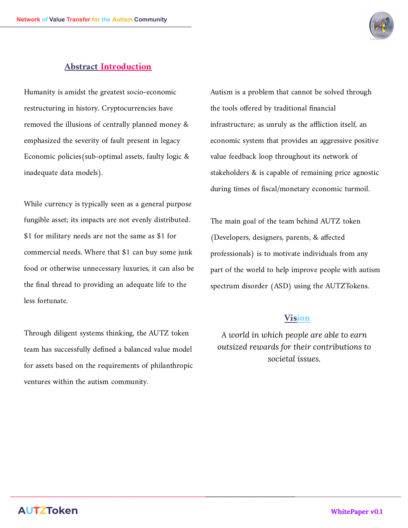

#### **Abstract Introduction**

Humanity is amidst the greatest socio-economic restructuring in history. Cryptocurrencies have removed the illusions of centrally planned money & emphasized the severity of fault present in legacy Economic policies(sub-optimal assets, faulty logic & inadequate data models).

While currency is typically seen as a general purpose fungible asset; its impacts are not evenly distributed. \$1 for military needs are not the same as \$1 for commercial needs. Where that \$1 can buy some junk food or otherwise unnecessary luxuries, it can also be the final thread to providing an adequate life to the less fortunate.

Through diligent systems thinking, the AUTZ token team has successfully defined a balanced value model for assets based on the requirements of philanthropic ventures within the autism community.

Autism is a problem that cannot be solved through the tools offered by traditional financial infrastructure; as unruly as the affliction itself, an economic system that provides an aggressive positive value feedback loop throughout its network of stakeholders & is capable of remaining price agnostic during times of fiscal/monetary economic turmoil.

The main goal of the team behind AUTZ token (Developers, designers, parents, & affected professionals) is to motivate individuals from any part of the world to help improve people with autism spectrum disorder (ASD) using the AUTZTokens.

#### **Vision**

*A world in which people are able to earn outsized rewards for their contributions to societal issues.*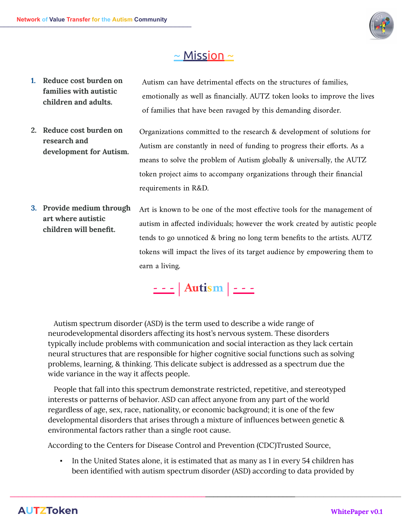

### $\sim$  Mission  $\sim$

- **1. Reduce cost burden on families with autistic children and adults.** Autism can have detrimental effects on the structures of families, emotionally as well as financially. AUTZ token looks to improve the lives of families that have been ravaged by this demanding disorder.
- **2. Reduce cost burden on research and development for Autism.** Organizations committed to the research & development of solutions for Autism are constantly in need of funding to progress their efforts. As a means to solve the problem of Autism globally & universally, the AUTZ token project aims to accompany organizations through their financial requirements in R&D.
- **3. Provide medium through art where autistic children will benefit.** Art is known to be one of the most effective tools for the management of autism in affected individuals; however the work created by autistic people tends to go unnoticed & bring no long term benefits to the artists. AUTZ tokens will impact the lives of its target audience by empowering them to earn a living.

**- - - | Autism | - - -**

Autism spectrum disorder (ASD) is the term used to describe a wide range of neurodevelopmental disorders affecting its host's nervous system. These disorders typically include problems with communication and social interaction as they lack certain neural structures that are responsible for higher cognitive social functions such as solving problems, learning, & thinking. This delicate subject is addressed as a spectrum due the wide variance in the way it affects people.

People that fall into this spectrum demonstrate restricted, repetitive, and stereotyped interests or patterns of behavior. ASD can affect anyone from any part of the world regardless of age, sex, race, nationality, or economic background; it is one of the few developmental disorders that arises through a mixture of influences between genetic & environmental factors rather than a single root cause.

According to the Centers for Disease Control and Prevention (CDC)Trusted Source,

In the United States alone, it is estimated that as many as 1 in every 54 children has been identified with autism spectrum disorder (ASD) according to data provided by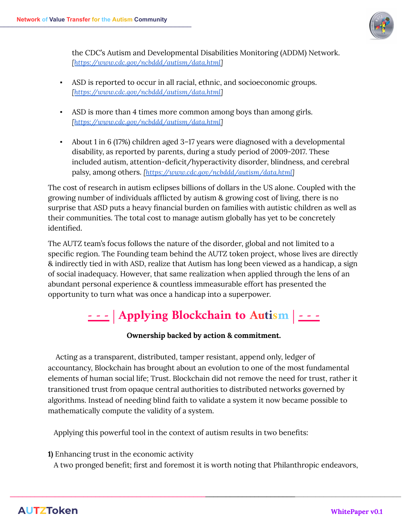

the CDC's Autism and Developmental Disabilities Monitoring (ADDM) Network. *[https:/ [www.cdc.gov/ncbddd/autism/data.html](https://www.cdc.gov/ncbddd/autism/data.html)]*

- ASD is reported to occur in all racial, ethnic, and socioeconomic groups. *[https:/ [www.cdc.gov/ncbddd/autism/data.html](https://www.cdc.gov/ncbddd/autism/data.html)]*
- ASD is more than 4 times more common among boys than among girls. *[https:/ [www.cdc.gov/ncbddd/autism/data.html](https://www.cdc.gov/ncbddd/autism/data.html)]*
- About 1 in 6 (17%) children aged 3–17 years were diagnosed with a developmental disability, as reported by parents, during a study period of 2009-2017. These included autism, attention-deficit/hyperactivity disorder, blindness, and cerebral palsy, among others. *[https:/ [www.cdc.gov/ncbddd/autism/data.html\]](https://www.cdc.gov/ncbddd/autism/data.html)*

The cost of research in autism eclipses billions of dollars in the US alone. Coupled with the growing number of individuals afflicted by autism & growing cost of living, there is no surprise that ASD puts a heavy financial burden on families with autistic children as well as their communities. The total cost to manage autism globally has yet to be concretely identified.

The AUTZ team's focus follows the nature of the disorder, global and not limited to a specific region. The Founding team behind the AUTZ token project, whose lives are directly & indirectly tied in with ASD, realize that Autism has long been viewed as a handicap, a sign of social inadequacy. However, that same realization when applied through the lens of an abundant personal experience & countless immeasurable effort has presented the opportunity to turn what was once a handicap into a superpower.

# **- - - | Applying Blockchain to Autism | - - -**

#### **Ownership backed by action & commitment.**

Acting as a transparent, distributed, tamper resistant, append only, ledger of accountancy, Blockchain has brought about an evolution to one of the most fundamental elements of human social life; Trust. Blockchain did not remove the need for trust, rather it transitioned trust from opaque central authorities to distributed networks governed by algorithms. Instead of needing blind faith to validate a system it now became possible to mathematically compute the validity of a system.

Applying this powerful tool in the context of autism results in two benefits:

**1)** Enhancing trust in the economic activity

A two pronged benefit; first and foremost it is worth noting that Philanthropic endeavors,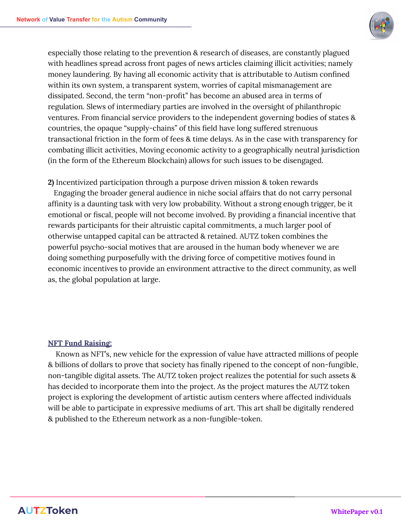

especially those relating to the prevention & research of diseases, are constantly plagued with headlines spread across front pages of news articles claiming illicit activities; namely money laundering. By having all economic activity that is attributable to Autism confined within its own system, a transparent system, worries of capital mismanagement are dissipated. Second, the term "non-profit" has become an abused area in terms of regulation. Slews of intermediary parties are involved in the oversight of philanthropic ventures. From financial service providers to the independent governing bodies of states & countries, the opaque "supply-chains" of this field have long suffered strenuous transactional friction in the form of fees & time delays. As in the case with transparency for combating illicit activities, Moving economic activity to a geographically neutral jurisdiction (in the form of the Ethereum Blockchain) allows for such issues to be disengaged.

**2)** Incentivized participation through a purpose driven mission & token rewards Engaging the broader general audience in niche social affairs that do not carry personal affinity is a daunting task with very low probability. Without a strong enough trigger, be it emotional or fiscal, people will not become involved. By providing a financial incentive that rewards participants for their altruistic capital commitments, a much larger pool of otherwise untapped capital can be attracted & retained. AUTZ token combines the powerful psycho-social motives that are aroused in the human body whenever we are doing something purposefully with the driving force of competitive motives found in economic incentives to provide an environment attractive to the direct community, as well as, the global population at large.

#### **NFT Fund Raising:**

Known as NFT's, new vehicle for the expression of value have attracted millions of people & billions of dollars to prove that society has finally ripened to the concept of non-fungible, non-tangible digital assets. The AUTZ token project realizes the potential for such assets & has decided to incorporate them into the project. As the project matures the AUTZ token project is exploring the development of artistic autism centers where affected individuals will be able to participate in expressive mediums of art. This art shall be digitally rendered & published to the Ethereum network as a non-fungible-token.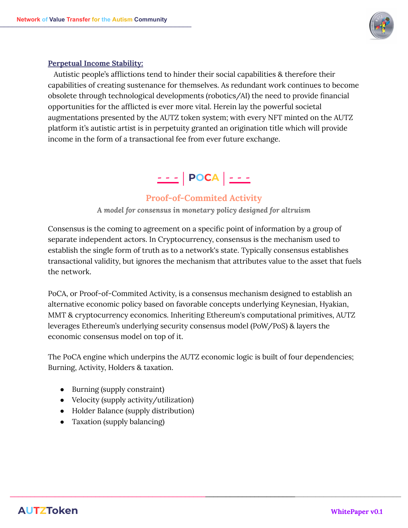

#### **Perpetual Income Stability:**

Autistic people's afflictions tend to hinder their social capabilities & therefore their capabilities of creating sustenance for themselves. As redundant work continues to become obsolete through technological developments (robotics/AI) the need to provide financial opportunities for the afflicted is ever more vital. Herein lay the powerful societal augmentations presented by the AUTZ token system; with every NFT minted on the AUTZ platform it's autistic artist is in perpetuity granted an origination title which will provide income in the form of a transactional fee from ever future exchange.

# **- - - | POCA | - - -**

#### **Proof-of-Commited Activity**

*A model for consensus in monetary policy designed for altruism*

Consensus is the coming to agreement on a specific point of information by a group of separate independent actors. In Cryptocurrency, consensus is the mechanism used to establish the single form of truth as to a network's state. Typically consensus establishes transactional validity, but ignores the mechanism that attributes value to the asset that fuels the network.

PoCA, or Proof-of-Commited Activity, is a consensus mechanism designed to establish an alternative economic policy based on favorable concepts underlying Keynesian, Hyakian, MMT & cryptocurrency economics. Inheriting Ethereum's computational primitives, AUTZ leverages Ethereum's underlying security consensus model (PoW/PoS) & layers the economic consensus model on top of it.

The PoCA engine which underpins the AUTZ economic logic is built of four dependencies; Burning, Activity, Holders & taxation.

- Burning (supply constraint)
- Velocity (supply activity/utilization)
- Holder Balance (supply distribution)
- Taxation (supply balancing)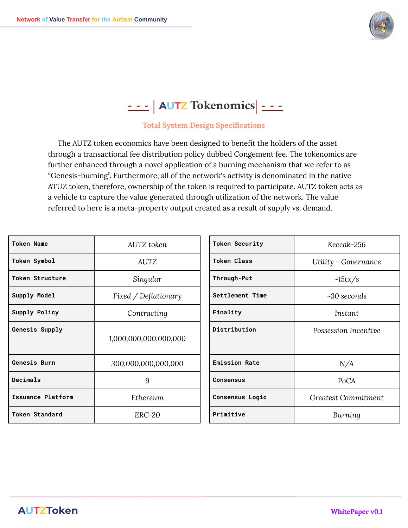

# **- - - | AUTZ Tokenomics| - - -**

#### **Total System Design Specifications**

The AUTZ token economics have been designed to benefit the holders of the asset through a transactional fee distribution policy dubbed Congement fee. The tokenomics are further enhanced through a novel application of a burning mechanism that we refer to as "Genesis-burning". Furthermore, all of the network's activity is denominated in the native ATUZ token, therefore, ownership of the token is required to participate. AUTZ token acts as a vehicle to capture the value generated through utilization of the network. The value referred to here is a meta-property output created as a result of supply vs. demand.

| <b>Token Name</b>        | AUTZ token            | <b>Token Security</b> | Keccak-256                 |
|--------------------------|-----------------------|-----------------------|----------------------------|
| Token Symbol             | <b>AUTZ</b>           | <b>Token Class</b>    | Utility - Governance       |
| <b>Token Structure</b>   | Singular              | Through-Put           | $\sim15tx/s$               |
| Supply Model             | Fixed / Deflationary  | Settlement Time       | $~10$ seconds              |
| Supply Policy            | Contracting           | Finality              | <i>Instant</i>             |
| Genesis Supply           | 1,000,000,000,000,000 | Distribution          | Possession Incentive       |
| <b>Genesis Burn</b>      | 300,000,000,000,000   | <b>Emission Rate</b>  | N/A                        |
| Decimals                 | 9                     | <b>Consensus</b>      | PoCA                       |
| <b>Issuance Platform</b> | Ethereum              | Consensus Logic       | <b>Greatest Commitment</b> |
| <b>Token Standard</b>    | <b>ERC-20</b>         | Primitive             | Burning                    |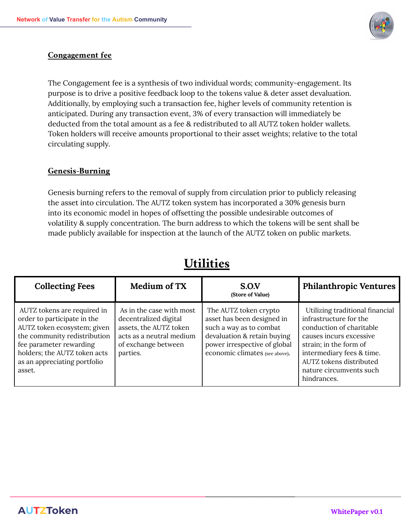

#### **Congagement fee**

The Congagement fee is a synthesis of two individual words; community-engagement. Its purpose is to drive a positive feedback loop to the tokens value & deter asset devaluation. Additionally, by employing such a transaction fee, higher levels of community retention is anticipated. During any transaction event, 3% of every transaction will immediately be deducted from the total amount as a fee & redistributed to all AUTZ token holder wallets. Token holders will receive amounts proportional to their asset weights; relative to the total circulating supply.

#### **Genesis-Burning**

Genesis burning refers to the removal of supply from circulation prior to publicly releasing the asset into circulation. The AUTZ token system has incorporated a 30% genesis burn into its economic model in hopes of offsetting the possible undesirable outcomes of volatility & supply concentration. The burn address to which the tokens will be sent shall be made publicly available for inspection at the launch of the AUTZ token on public markets.

| <b>Collecting Fees</b>                                                                                                                                                                                                         | Medium of TX                                                                                                                               | S.O.V<br>(Store of Value)                                                                                                                                                       | <b>Philanthropic Ventures</b>                                                                                                                                                                                                                |
|--------------------------------------------------------------------------------------------------------------------------------------------------------------------------------------------------------------------------------|--------------------------------------------------------------------------------------------------------------------------------------------|---------------------------------------------------------------------------------------------------------------------------------------------------------------------------------|----------------------------------------------------------------------------------------------------------------------------------------------------------------------------------------------------------------------------------------------|
| AUTZ tokens are required in<br>order to participate in the<br>AUTZ token ecosystem; given<br>the community redistribution<br>fee parameter rewarding<br>holders; the AUTZ token acts<br>as an appreciating portfolio<br>asset. | As in the case with most<br>decentralized digital<br>assets, the AUTZ token<br>acts as a neutral medium<br>of exchange between<br>parties. | The AUTZ token crypto<br>asset has been designed in<br>such a way as to combat<br>devaluation & retain buying<br>power irrespective of global<br>economic climates (see above). | Utilizing traditional financial<br>infrastructure for the<br>conduction of charitable<br>causes incurs excessive<br>strain; in the form of<br>intermediary fees & time.<br>AUTZ tokens distributed<br>nature circumvents such<br>hindrances. |

 $\_$  ,  $\_$  ,  $\_$  ,  $\_$  ,  $\_$  ,  $\_$  ,  $\_$  ,  $\_$  ,  $\_$  ,  $\_$  ,  $\_$  ,  $\_$  ,  $\_$  ,  $\_$  ,  $\_$  ,  $\_$  ,  $\_$  ,  $\_$  ,  $\_$  ,  $\_$  ,  $\_$  ,  $\_$  ,  $\_$  ,  $\_$  ,  $\_$  ,  $\_$  ,  $\_$  ,  $\_$  ,  $\_$  ,  $\_$  ,  $\_$  ,  $\_$  ,  $\_$  ,  $\_$  ,  $\_$  ,  $\_$  ,  $\_$  ,

### **Utilities**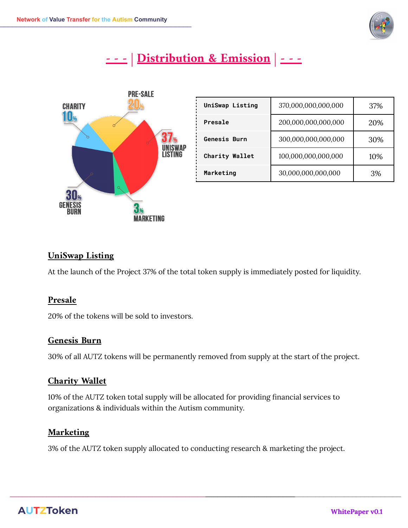

## **- - - | Distribution & Emission | - - -**



| <b>UniSwap Listing</b> | 370,000,000,000,000 | 37% |
|------------------------|---------------------|-----|
| Presale                | 200,000,000,000,000 | 20% |
| <b>Genesis Burn</b>    | 300,000,000,000,000 | 30% |
| <b>Charity Wallet</b>  | 100,000,000,000,000 | 10% |
| Marketing              | 30,000,000,000,000  | 3%  |

#### **UniSwap Listing**

At the launch of the Project 37% of the total token supply is immediately posted for liquidity.

#### **Presale**

20% of the tokens will be sold to investors.

#### **Genesis Burn**

30% of all AUTZ tokens will be permanently removed from supply at the start of the project.

#### **Charity Wallet**

10% of the AUTZ token total supply will be allocated for providing financial services to organizations & individuals within the Autism community.

#### **Marketing**

3% of the AUTZ token supply allocated to conducting research & marketing the project.